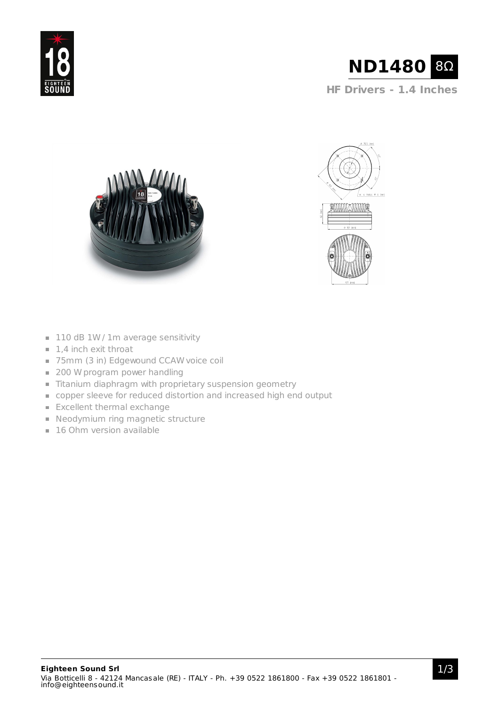



**HF Drivers - 1.4 Inches**





- $\blacksquare$  110 dB 1W / 1m average sensitivity
- $\blacksquare$  1,4 inch exit throat
- 75mm (3 in) Edgewound CCAW voice coil
- 200 W program power handling
- Titanium diaphragm with proprietary suspension geometry
- copper sleeve for reduced distortion and increased high end output
- **Excellent thermal exchange**
- Neodymium ring magnetic structure
- 16 Ohm version available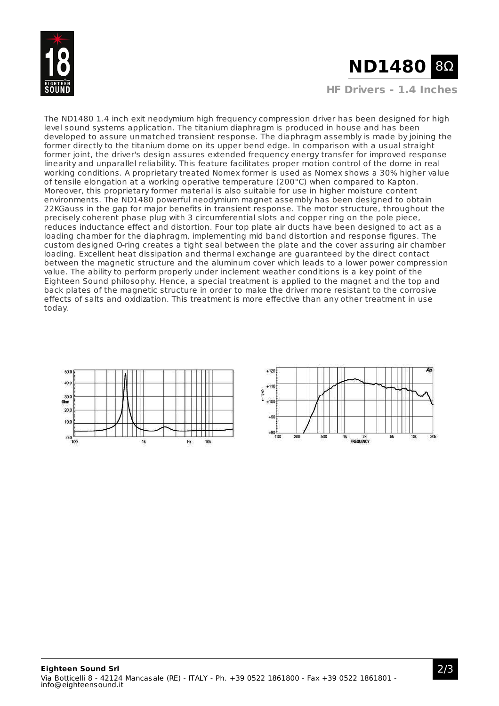

## **ND1480** 8Ω

**HF Drivers - 1.4 Inches**

The ND1480 1.4 inch exit neodymium high frequency compression driver has been designed for high level sound systems application. The titanium diaphragm is produced in house and has been developed to assure unmatched transient response. The diaphragm assembly is made by joining the former directly to the titanium dome on its upper bend edge. In comparison with a usual straight former joint, the driver's design assures extended frequency energy transfer for improved response linearity and unparallel reliability. This feature facilitates proper motion control of the dome in real working conditions. A proprietary treated Nomex former is used as Nomex shows a 30% higher value of tensile elongation at a working operative temperature (200°C) when compared to Kapton. Moreover, this proprietary former material is also suitable for use in higher moisture content environments. The ND1480 powerful neodymium magnet assembly has been designed to obtain 22KGauss in the gap for major benefits in transient response. The motor structure, throughout the precisely coherent phase plug with 3 circumferential slots and copper ring on the pole piece, reduces inductance effect and distortion. Four top plate air ducts have been designed to act as a loading chamber for the diaphragm, implementing mid band distortion and response figures. The custom designed O-ring creates a tight seal between the plate and the cover assuring air chamber loading. Excellent heat dissipation and thermal exchange are guaranteed by the direct contact between the magnetic structure and the aluminum cover which leads to a lower power compression value. The ability to perform properly under inclement weather conditions is a key point of the Eighteen Sound philosophy. Hence, a special treatment is applied to the magnet and the top and back plates of the magnetic structure in order to make the driver more resistant to the corrosive effects of salts and oxidization. This treatment is more effective than any other treatment in use today.